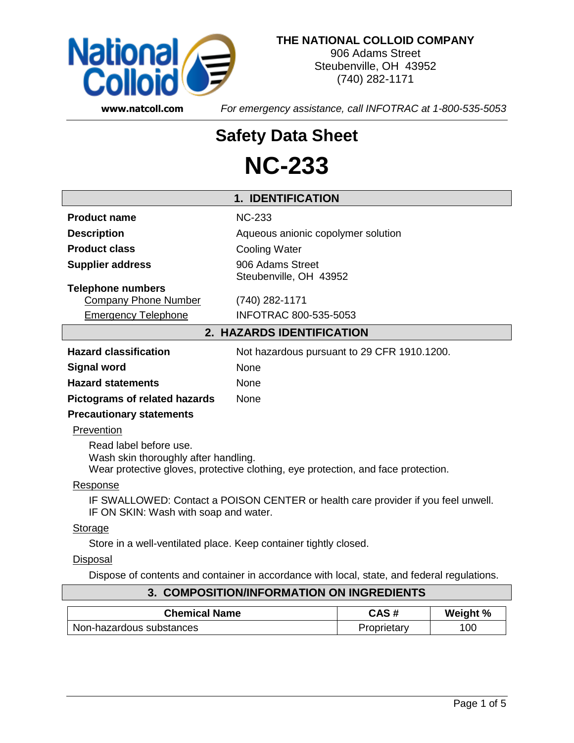

#### **THE NATIONAL COLLOID COMPANY**

906 Adams Street Steubenville, OH 43952 (740) 282-1171

**www.natcoll.com** *For emergency assistance, call INFOTRAC at 1-800-535-5053*

# **Safety Data Sheet NC-233**

### **1. IDENTIFICATION Product name** NC-233 **Description Description** Aqueous anionic copolymer solution **Product class** Cooling Water **Supplier address** 906 Adams Street Steubenville, OH 43952 **Telephone numbers** Company Phone Number (740) 282-1171 Emergency Telephone INFOTRAC 800-535-5053 **2. HAZARDS IDENTIFICATION Hazard classification** Not hazardous pursuant to 29 CFR 1910.1200. **Signal word** None **Hazard statements** None **Pictograms of related hazards** None **Precautionary statements Prevention** Read label before use. Wash skin thoroughly after handling. Wear protective gloves, protective clothing, eye protection, and face protection. Response IF SWALLOWED: Contact a POISON CENTER or health care provider if you feel unwell. IF ON SKIN: Wash with soap and water. Storage Store in a well-ventilated place. Keep container tightly closed. **Disposal** Dispose of contents and container in accordance with local, state, and federal regulations.

| 3. COMPOSITION/INFORMATION ON INGREDIENTS |  |  |
|-------------------------------------------|--|--|
|                                           |  |  |

| <b>Chemical Name</b>     | CAS#        | Weight % |
|--------------------------|-------------|----------|
| Non-hazardous substances | Proprietary | 100      |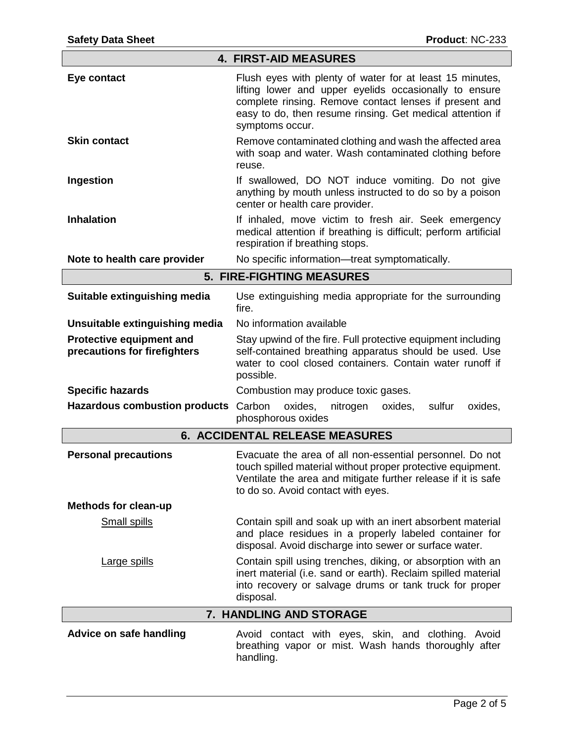| <b>4. FIRST-AID MEASURES</b>                             |                                                                                                                                                                                                                                                              |  |  |  |
|----------------------------------------------------------|--------------------------------------------------------------------------------------------------------------------------------------------------------------------------------------------------------------------------------------------------------------|--|--|--|
| Eye contact                                              | Flush eyes with plenty of water for at least 15 minutes,<br>lifting lower and upper eyelids occasionally to ensure<br>complete rinsing. Remove contact lenses if present and<br>easy to do, then resume rinsing. Get medical attention if<br>symptoms occur. |  |  |  |
| <b>Skin contact</b>                                      | Remove contaminated clothing and wash the affected area<br>with soap and water. Wash contaminated clothing before<br>reuse.                                                                                                                                  |  |  |  |
| Ingestion                                                | If swallowed, DO NOT induce vomiting. Do not give<br>anything by mouth unless instructed to do so by a poison<br>center or health care provider.                                                                                                             |  |  |  |
| <b>Inhalation</b>                                        | If inhaled, move victim to fresh air. Seek emergency<br>medical attention if breathing is difficult; perform artificial<br>respiration if breathing stops.                                                                                                   |  |  |  |
| Note to health care provider                             | No specific information—treat symptomatically.                                                                                                                                                                                                               |  |  |  |
|                                                          | <b>5. FIRE-FIGHTING MEASURES</b>                                                                                                                                                                                                                             |  |  |  |
| Suitable extinguishing media                             | Use extinguishing media appropriate for the surrounding<br>fire.                                                                                                                                                                                             |  |  |  |
| Unsuitable extinguishing media                           | No information available                                                                                                                                                                                                                                     |  |  |  |
| Protective equipment and<br>precautions for firefighters | Stay upwind of the fire. Full protective equipment including<br>self-contained breathing apparatus should be used. Use<br>water to cool closed containers. Contain water runoff if<br>possible.                                                              |  |  |  |
| <b>Specific hazards</b>                                  | Combustion may produce toxic gases.                                                                                                                                                                                                                          |  |  |  |
| <b>Hazardous combustion products</b>                     | Carbon<br>oxides,<br>sulfur<br>oxides,<br>oxides,<br>nitrogen<br>phosphorous oxides                                                                                                                                                                          |  |  |  |
| <b>6. ACCIDENTAL RELEASE MEASURES</b>                    |                                                                                                                                                                                                                                                              |  |  |  |
| <b>Personal precautions</b>                              | Evacuate the area of all non-essential personnel. Do not<br>touch spilled material without proper protective equipment.<br>Ventilate the area and mitigate further release if it is safe<br>to do so. Avoid contact with eyes.                               |  |  |  |
| <b>Methods for clean-up</b>                              |                                                                                                                                                                                                                                                              |  |  |  |
| Small spills                                             | Contain spill and soak up with an inert absorbent material<br>and place residues in a properly labeled container for<br>disposal. Avoid discharge into sewer or surface water.                                                                               |  |  |  |
| <b>Large spills</b>                                      | Contain spill using trenches, diking, or absorption with an<br>inert material (i.e. sand or earth). Reclaim spilled material<br>into recovery or salvage drums or tank truck for proper<br>disposal.                                                         |  |  |  |
|                                                          | 7. HANDLING AND STORAGE                                                                                                                                                                                                                                      |  |  |  |
| <b>Advice on safe handling</b>                           | Avoid contact with eyes, skin, and clothing. Avoid<br>breathing vapor or mist. Wash hands thoroughly after<br>handling.                                                                                                                                      |  |  |  |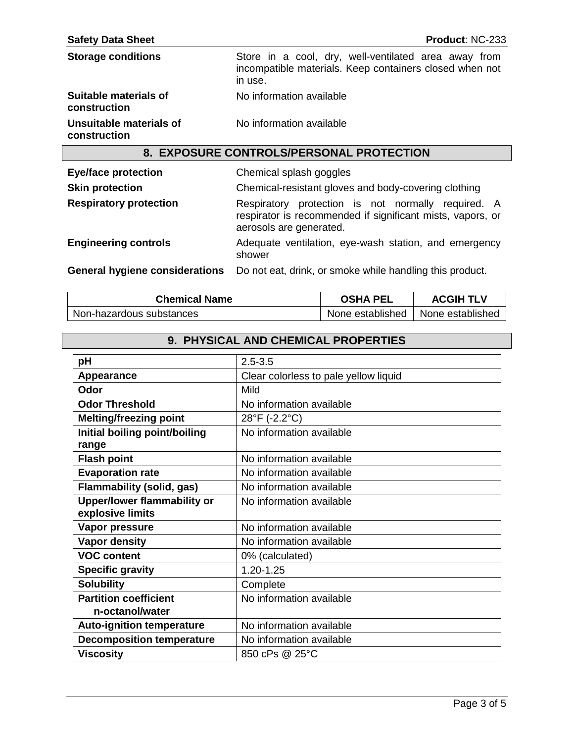| <b>Safety Data Sheet</b>                | <b>Product: NC-233</b>                                                                                                                      |  |  |
|-----------------------------------------|---------------------------------------------------------------------------------------------------------------------------------------------|--|--|
| <b>Storage conditions</b>               | Store in a cool, dry, well-ventilated area away from<br>incompatible materials. Keep containers closed when not<br>in use.                  |  |  |
| Suitable materials of<br>construction   | No information available                                                                                                                    |  |  |
| Unsuitable materials of<br>construction | No information available                                                                                                                    |  |  |
|                                         | 8. EXPOSURE CONTROLS/PERSONAL PROTECTION                                                                                                    |  |  |
| <b>Eye/face protection</b>              | Chemical splash goggles                                                                                                                     |  |  |
| <b>Skin protection</b>                  | Chemical-resistant gloves and body-covering clothing                                                                                        |  |  |
| <b>Respiratory protection</b>           | Respiratory protection is not normally required. A<br>respirator is recommended if significant mists, vapors, or<br>aerosols are generated. |  |  |
| <b>Engingering controls</b>             | ungeniage has maters desired and entitation at unaborated                                                                                   |  |  |

**Engineering controls Adequate ventilation, eye-wash station, and emergency** shower

**General hygiene considerations** Do not eat, drink, or smoke while handling this product.

| <b>Chemical Name</b>     | OSHA PEL         | <b>ACGIH TLV</b> |
|--------------------------|------------------|------------------|
| Non-hazardous substances | None established | None established |

## **9. PHYSICAL AND CHEMICAL PROPERTIES**

| pH                                 | $2.5 - 3.5$                           |  |  |
|------------------------------------|---------------------------------------|--|--|
| Appearance                         | Clear colorless to pale yellow liquid |  |  |
| Odor                               | Mild                                  |  |  |
| <b>Odor Threshold</b>              | No information available              |  |  |
| <b>Melting/freezing point</b>      | 28°F (-2.2°C)                         |  |  |
| Initial boiling point/boiling      | No information available              |  |  |
| range                              |                                       |  |  |
| <b>Flash point</b>                 | No information available              |  |  |
| <b>Evaporation rate</b>            | No information available              |  |  |
| <b>Flammability (solid, gas)</b>   | No information available              |  |  |
| <b>Upper/lower flammability or</b> | No information available              |  |  |
| explosive limits                   |                                       |  |  |
| Vapor pressure                     | No information available              |  |  |
| <b>Vapor density</b>               | No information available              |  |  |
| <b>VOC content</b>                 | 0% (calculated)                       |  |  |
| <b>Specific gravity</b>            | $1.20 - 1.25$                         |  |  |
| <b>Solubility</b>                  | Complete                              |  |  |
| <b>Partition coefficient</b>       | No information available              |  |  |
| n-octanol/water                    |                                       |  |  |
| <b>Auto-ignition temperature</b>   | No information available              |  |  |
| <b>Decomposition temperature</b>   | No information available              |  |  |
| <b>Viscosity</b>                   | 850 cPs @ 25°C                        |  |  |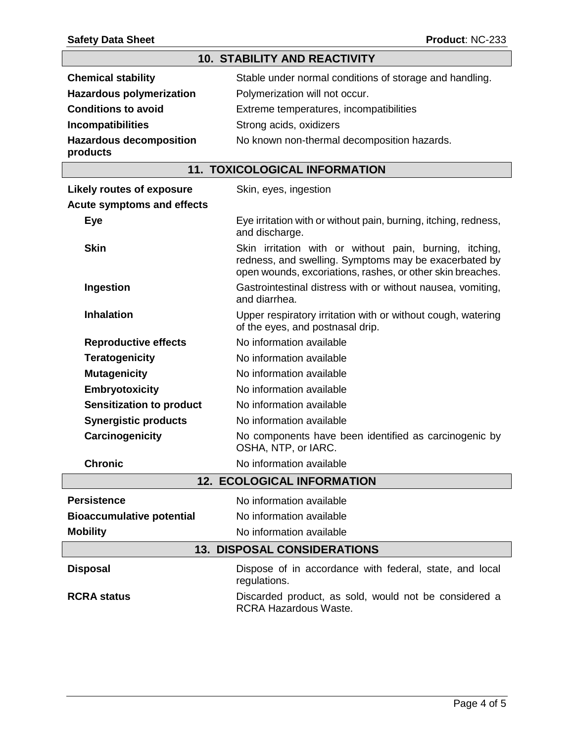# **10. STABILITY AND REACTIVITY**

| <b>Chemical stability</b>                  | Stable under normal conditions of storage and handling. |
|--------------------------------------------|---------------------------------------------------------|
| <b>Hazardous polymerization</b>            | Polymerization will not occur.                          |
| <b>Conditions to avoid</b>                 | Extreme temperatures, incompatibilities                 |
| <b>Incompatibilities</b>                   | Strong acids, oxidizers                                 |
| <b>Hazardous decomposition</b><br>products | No known non-thermal decomposition hazards.             |

## **11. TOXICOLOGICAL INFORMATION**

| <b>Likely routes of exposure</b>                                                                                                                                                              | Skin, eyes, ingestion                                                                            |  |  |
|-----------------------------------------------------------------------------------------------------------------------------------------------------------------------------------------------|--------------------------------------------------------------------------------------------------|--|--|
| <b>Acute symptoms and effects</b>                                                                                                                                                             |                                                                                                  |  |  |
| <b>Eye</b>                                                                                                                                                                                    | Eye irritation with or without pain, burning, itching, redness,<br>and discharge.                |  |  |
| <b>Skin</b><br>Skin irritation with or without pain, burning, itching,<br>redness, and swelling. Symptoms may be exacerbated by<br>open wounds, excoriations, rashes, or other skin breaches. |                                                                                                  |  |  |
| Ingestion                                                                                                                                                                                     | Gastrointestinal distress with or without nausea, vomiting,<br>and diarrhea.                     |  |  |
| <b>Inhalation</b>                                                                                                                                                                             | Upper respiratory irritation with or without cough, watering<br>of the eyes, and postnasal drip. |  |  |
| <b>Reproductive effects</b>                                                                                                                                                                   | No information available                                                                         |  |  |
| <b>Teratogenicity</b>                                                                                                                                                                         | No information available                                                                         |  |  |
| <b>Mutagenicity</b>                                                                                                                                                                           | No information available                                                                         |  |  |
| <b>Embryotoxicity</b>                                                                                                                                                                         | No information available                                                                         |  |  |
| <b>Sensitization to product</b>                                                                                                                                                               | No information available                                                                         |  |  |
| <b>Synergistic products</b>                                                                                                                                                                   | No information available                                                                         |  |  |
| Carcinogenicity                                                                                                                                                                               | No components have been identified as carcinogenic by<br>OSHA, NTP, or IARC.                     |  |  |
| <b>Chronic</b>                                                                                                                                                                                | No information available                                                                         |  |  |
|                                                                                                                                                                                               | <b>12. ECOLOGICAL INFORMATION</b>                                                                |  |  |
| <b>Persistence</b>                                                                                                                                                                            | No information available                                                                         |  |  |
| <b>Bioaccumulative potential</b>                                                                                                                                                              | No information available                                                                         |  |  |
| <b>Mobility</b>                                                                                                                                                                               | No information available                                                                         |  |  |
| <b>13. DISPOSAL CONSIDERATIONS</b>                                                                                                                                                            |                                                                                                  |  |  |
| <b>Disposal</b>                                                                                                                                                                               | Dispose of in accordance with federal, state, and local<br>regulations.                          |  |  |
| <b>RCRA</b> status                                                                                                                                                                            | Discarded product, as sold, would not be considered a<br><b>RCRA Hazardous Waste.</b>            |  |  |